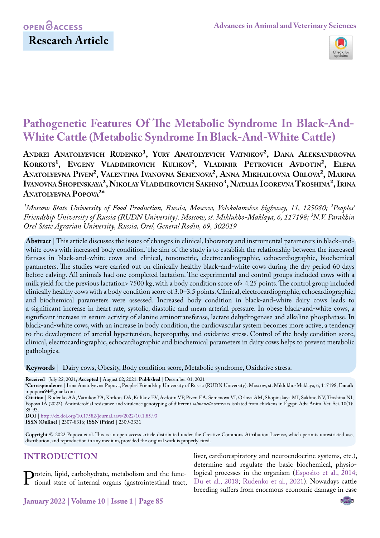# OPEN **OACCESS**

## **Research Article**



# **Pathogenetic Features Of The Metabolic Syndrome In Black-And-White Cattle (Metabolic Syndrome In Black-And-White Cattle)**

ANDREI ANATOLYEVICH RUDENKO<sup>1</sup>, YURY ANATOLYEVICH VATNIKOV<sup>2</sup>, DANA ALEKSANDROVNA KORKOTS<sup>1</sup>, EVGENY VLADIMIROVICH KULIKOV<sup>2</sup>, VLADIMIR PETROVICH AVDOTIN<sup>2</sup>, ELENA **Anatolyevna Piven², Valentina Ivanovna Semenova², Anna Mikhailovna Orlova², Marina Ivanovna Shopinskaya², NikolayVladimirovich Sakhno³, Natalia IgorevnaTroshina², Irina Anatolyevna Popova²\***

<sup>1</sup>Moscow State University of Food Production, Russia, Moscow, Volokolamskoe highway, 11, 125080; <sup>2</sup>Peoples' *Friendship University of Russia (RUDN University). Moscow, st. Miklukho-Maklaya, 6, 117198; ³N.V. Parakhin Orel State Agrarian University, Russia, Orel, General Rodin, 69, 302019*

**Abstract** | This article discusses the issues of changes in clinical, laboratory and instrumental parameters in black-andwhite cows with increased body condition. The aim of the study is to establish the relationship between the increased fatness in black-and-white cows and clinical, tonometric, electrocardiographic, echocardiographic, biochemical parameters. The studies were carried out on clinically healthy black-and-white cows during the dry period 60 days before calving. All animals had one completed lactation. The experimental and control groups included cows with a milk yield for the previous lactation> 7500 kg, with a body condition score of> 4.25 points. The control group included clinically healthy cows with a body condition score of 3.0–3.5 points. Clinical, electrocardiographic, echocardiographic, and biochemical parameters were assessed. Increased body condition in black-and-white dairy cows leads to a significant increase in heart rate, systolic, diastolic and mean arterial pressure. In obese black-and-white cows, a significant increase in serum activity of alanine aminotransferase, lactate dehydrogenase and alkaline phosphatase. In black-and-white cows, with an increase in body condition, the cardiovascular system becomes more active, a tendency to the development of arterial hypertension, hepatopathy, and oxidative stress. Control of the body condition score, clinical, electrocardiographic, echocardiographic and biochemical parameters in dairy cows helps to prevent metabolic pathologies.

**Keywords** | Dairy cows, Obesity, Body condition score, Metabolic syndrome, Oxidative stress.

**Received** | July 22, 2021; **Accepted** | August 02, 2021; **Published** | December 01, 2021

**Citation** | Rudenko AA, Vatnikov YA, Korkots DA, Kulikov EV, Avdotin VP, Piven EA, Semenova VI, Orlova AM, Shopinskaya MI, Sakhno NV, Troshina NI, Popova IA (2022). Antimicrobial resistance and virulence genotyping of different *salmonella* serovars isolated from chickens in Egypt. Adv. Anim. Vet. Sci. 10(1): 85-93.

**DOI** | [http://dx.doi.org/10.17582/journal.aavs/2022](http://dx.doi.org/10.17582/journal.aavs/2022/10.1.85.93)/10.1.85.93

**ISSN (Online)** | 2307-8316; **ISSN (Print)** | 2309-3331

**Copyright** © 2022 Popova et al. This is an open access article distributed under the Creative Commons Attribution License, which permits unrestricted use, distribution, and reproduction in any medium, provided the original work is properly cited.

### **Introduction**

Protein, lipid, carbohydrate, metabolism and the func-tional state of internal organs (gastrointestinal tract,

liver, cardiorespiratory and neuroendocrine systems, etc.), determine and regulate the basic biochemical, physiological processes in the organism [\(Esposito et al., 2014;](#page-6-0) [Du et al., 2018;](#page-6-1) [Rudenko et al., 2021\)](#page-7-0). Nowadays cattle breeding suffers from enormous economic damage in case

**<sup>\*</sup>Correspondence** | Irina Anatolyevna Popova, Peoples' Friendship University of Russia (RUDN University). Moscow, st. Miklukho-Maklaya, 6, 117198; **Email:** ir.popova94@gmail.com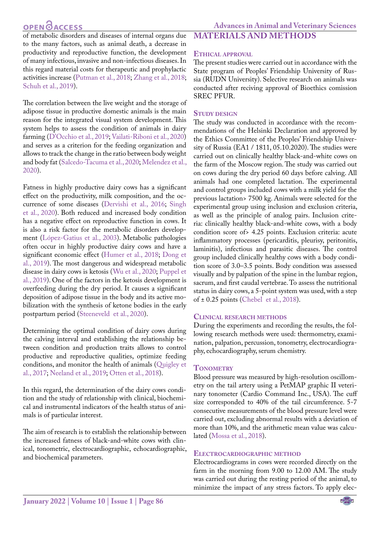of metabolic disorders and diseases of internal organs due to the many factors, such as animal death, a decrease in productivity and reproductive function, the development of many infectious, invasive and non-infectious diseases. In this regard material costs for therapeutic and prophylactic activities increase [\(Putman et al., 2018](#page-7-1); [Zhang et al., 2018;](#page-8-0) Schuh et al., 2019).

The correlation between the live weight and the storage of adipose tissue in productive domestic animals is the main reason for the integrated visual system development. This system helps to assess the condition of animals in dairy farming (D'Occhio et al., 2019; [Vailati-Riboni et al., 2020](#page-7-2)) and serves as a criterion for the feeding organization and allows to track the change in the ratio between body weight and body fat ([Salcedo-Tacuma et al., 2020;](#page-7-3) Melendez et al., 2020).

Fatness in highly productive dairy cows has a significant effect on the productivity, milk composition, and the occurrence of some diseases ([Dervishi et al., 2016](#page-6-2); [Singh](#page-7-4)  [et al., 2020](#page-7-4)). Both reduced and increased body condition has a negative effect on reproductive function in cows. It is also a risk factor for the metabolic disorders development (López-Gatius et al., 2003). Metabolic pathologies often occur in highly productive dairy cows and have a significant economic effect ([Humer et al., 2018](#page-6-3); [Dong et](#page-6-4)  [al., 2019\)](#page-6-4). The most dangerous and widespread metabolic disease in dairy cows is ketosis ([Wu et al., 2020](#page-7-5); Puppel et al., 2019). One of the factors in the ketosis development is overfeeding during the dry period. It causes a significant deposition of adipose tissue in the body and its active mobilization with the synthesis of ketone bodies in the early postpartum period [\(Steeneveld et al., 2020\)](#page-7-6).

Determining the optimal condition of dairy cows during the calving interval and establishing the relationship between condition and production traits allows to control productive and reproductive qualities, optimize feeding conditions, and monitor the health of animals [\(Quigley et](#page-7-7)  [al., 2017](#page-7-7); Neeland et al., 2019; Otten et al., 2018).

In this regard, the determination of the dairy cows condition and the study of relationship with clinical, biochemical and instrumental indicators of the health status of animals is of particular interest.

The aim of research is to establish the relationship between the increased fatness of black-and-white cows with clinical, tonometric, electrocardiographic, echocardiographic, and biochemical parameters.

# **Ethical approval**

**Materials and methods**

The present studies were carried out in accordance with the State program of Peoples' Friendship University of Russia (RUDN University). Selective research on animals was conducted after reciving approval of Bioethics comission SREC PFUR.

#### **STUDY DESIGN**

The study was conducted in accordance with the recommendations of the Helsinki Declaration and approved by the Ethics Committee of the Peoples' Friendship University of Russia (EA1 / 1811, 05.10.2020). The studies were carried out on clinically healthy black-and-white cows on the farm of the Moscow region. The study was carried out on cows during the dry period 60 days before calving. All animals had one completed lactation. The experimental and control groups included cows with a milk yield for the previous lactation> 7500 kg. Animals were selected for the experimental group using inclusion and exclusion criteria, as well as the principle of analog pairs. Inclusion criteria: clinically healthy black-and-white cows, with a body condition score of> 4.25 points. Exclusion criteria: acute inflammatory processes (pericarditis, pleurisy, peritonitis, laminitis), infectious and parasitic diseases. The control group included clinically healthy cows with a body condition score of 3.0–3.5 points. Body condition was assessed visually and by palpation of the spine in the lumbar region, sacrum, and first caudal vertebrae. To assess the nutritional status in dairy cows, a 5-point system was used, with a step of ± 0.25 points (Chebel et al., 2018).

#### **Clinical research methods**

During the experiments and recording the results, the following research methods were used: thermometry, examination, palpation, percussion, tonometry, electrocardiography, echocardiography, serum chemistry.

#### **TONOMETRY**

Blood pressure was measured by high-resolution oscillometry on the tail artery using a PetMAP graphic II veterinary tonometer (Cardio Command Inc., USA). The cuff size corresponded to 40% of the tail circumference. 5-7 consecutive measurements of the blood pressure level were carried out, excluding abnormal results with a deviation of more than 10%, and the arithmetic mean value was calculated [\(Mossa et al., 2018\)](#page-6-5).

#### **Electrocardiographic method**

Electrocardiograms in cows were recorded directly on the farm in the morning from 9.00 to 12.00 AM. The study was carried out during the resting period of the animal, to minimize the impact of any stress factors. To apply elec-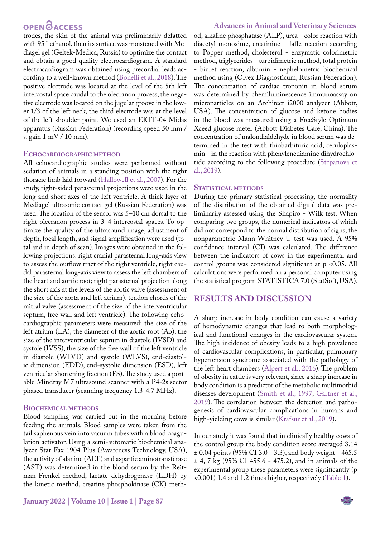trodes, the skin of the animal was preliminarily defatted with 95 ° ethanol, then its surface was moistened with Mediagel gel (Geltek-Medica, Russia) to optimize the contact and obtain a good quality electrocardiogram. A standard electrocardiogram was obtained using precordial leads according to a well-known method [\(Bonelli et al., 2018](#page-6-6)). The positive electrode was located at the level of the 5th left intercostal space caudal to the olecranon process, the negative electrode was located on the jugular groove in the lower 1/3 of the left neck, the third electrode was at the level of the left shoulder point. We used an EK1T-04 Midas apparatus (Russian Federation) (recording speed 50 mm / s, gain 1 mV / 10 mm).

#### **Echocardiographic method**

All echocardiographic studies were performed without sedation of animals in a standing position with the right thoracic limb laid forward ([Hallowell et al., 2007\)](#page-6-7). For the study, right-sided parasternal projections were used in the long and short axes of the left ventricle. A thick layer of Mediagel ultrasonic contact gel (Russian Federation) was used. The location of the sensor was 5–10 cm dorsal to the right olecranon process in 3–4 intercostal spaces. To optimize the quality of the ultrasound image, adjustment of depth, focal length, and signal amplification were used (total and in depth of scan). Images were obtained in the following projections: right cranial parasternal long-axis view to assess the outflow tract of the right ventricle, right caudal parasternal long-axis view to assess the left chambers of the heart and aortic root; right parasternal projection along the short axis at the levels of the aortic valve (assessment of the size of the aorta and left atrium), tendon chords of the mitral valve (assessment of the size of the interventricular septum, free wall and left ventricle). The following echocardiographic parameters were measured: the size of the left atrium (LA), the diameter of the aortic root (Ao), the size of the interventricular septum in diastole (IVSD) and systole (IVSS), the size of the free wall of the left ventricle in diastole (WLVD) and systole (WLVS), end-diastolic dimension (EDD), end-systolic dimension (ESD), left ventricular shortening fraction (FS). The study used a portable Mindray M7 ultrasound scanner with a P4-2s sector phased transducer (scanning frequency 1.3-4.7 MHz).

#### **Biochemical methods**

Blood sampling was carried out in the morning before feeding the animals. Blood samples were taken from the tail saphenous vein into vacuum tubes with a blood coagulation activator. Using a semi-automatic biochemical analyzer Stat Fax 1904 Plus (Awareness Technology, USA), the activity of alanine (ALT) and aspartic aminotransferase (AST) was determined in the blood serum by the Reitman-Frenkel method, lactate dehydrogenase (LDH) by the kinetic method, creatine phosphokinase (CK) meth-

od, alkaline phosphatase (ALP), urea - color reaction with diacetyl monoxime, creatinine - Jaffe reaction according to Popper method, cholesterol - enzymatic colorimetric method, triglycerides - turbidimetric method, total protein - biuret reaction, albumin - nephelometric biochemical method using (Olvex Diagnosticum, Russian Federation). The concentration of cardiac troponin in blood serum was determined by chemiluminescence immunoassay on microparticles on an Architect i2000 analyzer (Abbott, USA). The concentration of glucose and ketone bodies in the blood was measured using a FreeStyle Optimum Xceed glucose meter (Abbott Diabetes Care, China). The concentration of malondialdehyde in blood serum was determined in the test with thiobarbituric acid, ceruloplasmin - in the reaction with phenylenediamine dihydrochloride according to the following procedure ([Stepanova et](#page-7-8)  [al., 2019](#page-7-8)).

#### **STATISTICAL METHODS**

During the primary statistical processing, the normality of the distribution of the obtained digital data was preliminarily assessed using the Shapiro - Wilk test. When comparing two groups, the numerical indicators of which did not correspond to the normal distribution of signs, the nonparametric Mann-Whitney U-test was used. A 95% confidence interval (CI) was calculated. The difference between the indicators of cows in the experimental and control groups was considered significant at p <0.05. All calculations were performed on a personal computer using the statistical program STATISTICA 7.0 (StatSoft, USA).

### **Results and discussion**

A sharp increase in body condition can cause a variety of hemodynamic changes that lead to both morphological and functional changes in the cardiovascular system. The high incidence of obesity leads to a high prevalence of cardiovascular complications, in particular, pulmonary hypertension syndrome associated with the pathology of the left heart chambers ([Alpert et al., 2016\)](#page-6-8). The problem of obesity in cattle is very relevant, since a sharp increase in body condition is a predictor of the metabolic multimorbid diseases development ([Smith et al., 1997](#page-7-9); Gärtner et al., 2019). The correlation between the detection and pathogenesis of cardiovascular complications in humans and high-yielding cows is similar ([Krafsur et al., 2019\)](#page-6-9).

In our study it was found that in clinically healthy cows of the control group the body condition score averaged 3.14 ± 0.04 points (95% CI 3.0 - 3.3), and body weight - 465.5 ± 4, 7 kg (95% CI 455.6 - 475.2), and in animals of the experimental group these parameters were significantly (p <0.001) 1.4 and 1.2 times higher, respectively ([Table 1](#page-3-0)).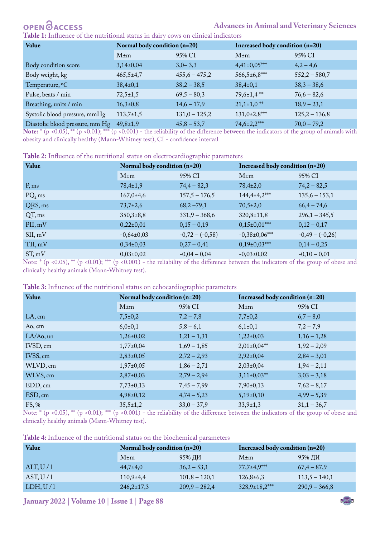# **OPEN**OACCESS

<span id="page-3-0"></span>**1:** Influence of the nutritional status in dairy cows on clinical indicators

| Value                           | Normal body condition (n=20) |                 | Increased body condition (n=20) |                 |
|---------------------------------|------------------------------|-----------------|---------------------------------|-----------------|
|                                 | $M \pm m$                    | 95% CI          | $M \pm m$                       | 95% CI          |
| Body condition score            | $3,14\pm0,04$                | $3,0-3,3$       | $4,41\pm0,05***$                | $4,2 - 4,6$     |
| Body weight, kg                 | $465,5 \pm 4,7$              | $455,6 - 475,2$ | $566,5\pm 6,8$ ***              | $552,2 - 580,7$ |
| Temperature, <sup>o</sup> C     | $38,4\pm0,1$                 | $38,2 - 38,5$   | $38,4\pm0,1$                    | $38,3 - 38,6$   |
| Pulse, beats / min              | $72,5 \pm 1,5$               | $69,5 - 80,3$   | $79,6\t\pm\t1,4$ **             | $76,6 - 82,6$   |
| Breathing, units / min          | $16,3\t\pm0,8$               | $14,6 - 17,9$   | $21,1\pm1,0$ <sup>**</sup>      | $18,9 - 23,1$   |
| Systolic blood pressure, mmHg   | $113,7 \pm 1,5$              | $131,0 - 125,2$ | $131,0{\pm}2,8^{***}$           | $125,2 - 136,8$ |
| Diastolic blood pressure, mm Hg | $49,8 \pm 1,9$               | $45,8 - 53,7$   | 74,6±2,2***                     | $70,0 - 79,2$   |

**Note:**  $\hat{p}$  <0.05),  $\hat{p}$  <0.01);  $\hat{p}$  <0.001) - the reliability of the difference between the indicators of the group of animals with obesity and clinically healthy (Mann-Whitney test), CI - confidence interval

<span id="page-3-1"></span>

| Table 2: Influence of the nutritional status on electrocardiographic parameters |
|---------------------------------------------------------------------------------|
|---------------------------------------------------------------------------------|

| Value   | Normal body condition (n=20) |                   | Increased body condition (n=20) |                 |
|---------|------------------------------|-------------------|---------------------------------|-----------------|
|         | $M \pm m$                    | 95% CI            | $M \pm m$                       | 95% CI          |
| P, ms   | $78,4 \pm 1,9$               | $74,4 - 82,3$     | $78,4{\pm}2,0$                  | $74,2 - 82,5$   |
| PQ, ms  | $167,0{\pm}4,6$              | $157,5 - 176,5$   | $144,4\pm4,2$ ***               | $135,6 - 153,1$ |
| QRS, ms | $73,7{\pm}2,6$               | $68,2 - 79,1$     | $70,5{\pm}2,0$                  | $66,4 - 74,6$   |
| QT, ms  | $350,3+8,8$                  | $331,9 - 368,6$   | $320,8 \pm 11,8$                | $296,1 - 345,5$ |
| PII, mV | $0,22\pm0,01$                | $0,15-0,19$       | $0,15\pm0,01***$                | $0,12-0,17$     |
| SII, mV | $-0,64\pm0,03$               | $-0,72 - (-0,58)$ | $-0,38\pm0,06***$               | $-0,49-(-0,26)$ |
| TII, mV | $0,34\pm0,03$                | $0,27-0,41$       | $0,19\pm0,03$ ***               | $0,14-0,25$     |
| ST, mV  | $0,03\pm0,02$                | $-0,04 - 0,04$    | $-0,03\pm0,02$                  | $-0,10-0,01$    |

Note:  $*$  (p <0.05), \*\* (p <0.01); \*\*\* (p <0.001) - the reliability of the difference between the indicators of the group of obese and clinically healthy animals (Mann-Whitney test).

<span id="page-3-2"></span>

| Table 3: Influence of the nutritional status on echocardiographic parameters |
|------------------------------------------------------------------------------|
|------------------------------------------------------------------------------|

| Value        | Normal body condition (n=20) |               | Increased body condition (n=20) |               |
|--------------|------------------------------|---------------|---------------------------------|---------------|
|              | $M \pm m$                    | 95% CI        | $M \pm m$                       | 95% CI        |
| LA, cm       | $7,5\pm0,2$                  | $7,2 - 7,8$   | $7,7\pm0,2$                     | $6,7 - 8,0$   |
| Ao, cm       | $6,0{\pm}0,1$                | $5,8-6,1$     | $6,1\pm0,1$                     | $7,2 - 7,9$   |
| $LA/Ao$ , un | $1,26\pm0,02$                | $1,21 - 1,31$ | $1,22\pm0,03$                   | $1,16 - 1,28$ |
| IVSD, cm     | $1,77\pm0,04$                | $1,69 - 1,85$ | $2,01\pm0,04**$                 | $1,92 - 2,09$ |
| IVSS, cm     | $2,83\pm0,05$                | $2,72 - 2,93$ | $2,92\pm0,04$                   | $2,84 - 3,01$ |
| WLVD, cm     | $1,97\pm0,05$                | $1,86 - 2,71$ | $2,03\pm0,04$                   | $1,94 - 2,11$ |
| WLVS, cm     | $2,87\pm0,03$                | $2,79 - 2,94$ | $3,11\pm0,03**$                 | $3,03 - 3,18$ |
| EDD, cm      | $7,73\pm0,13$                | $7,45 - 7,99$ | $7,90\pm0,13$                   | $7,62 - 8,17$ |
| ESD, cm      | $4,98\pm0,12$                | $4,74-5,23$   | $5,19\pm0,10$                   | $4,99-5,39$   |
| FS, %        | $35,5 \pm 1,2$               | $33,0 - 37,9$ | $33,9 \pm 1,3$                  | $31,1 - 36,7$ |

Note:  $*$  (p <0.05), \*\* (p <0.01); \*\*\* (p <0.001) - the reliability of the difference between the indicators of the group of obese and clinically healthy animals (Mann-Whitney test).

<span id="page-3-3"></span>**Table 4:** Influence of the nutritional status on the biochemical parameters

| Value    | Normal body condition (n=20) |                 | Increased body condition (n=20) |                 |
|----------|------------------------------|-----------------|---------------------------------|-----------------|
|          | $M \pm m$                    | 95% ДИ          | $M \pm m$                       | 95% ДИ          |
| ALT, U/1 | $44,7{\pm}4,0$               | $36,2 - 53,1$   | $77,7\pm4,9$ ***                | $67,4 - 87,9$   |
| AST, U/1 | $110,9{\pm}4,4$              | $101,8 - 120,1$ | $126,8\t\pm\t6,3$               | $113,5 - 140,1$ |
| LDH, U/1 | $246,2\pm 17,3$              | $209,9 - 282,4$ | $328,9\pm 18,2$ ***             | $290,9 - 366,8$ |

US **January 2022 | Volume 10 | Issue 1 | Page 88**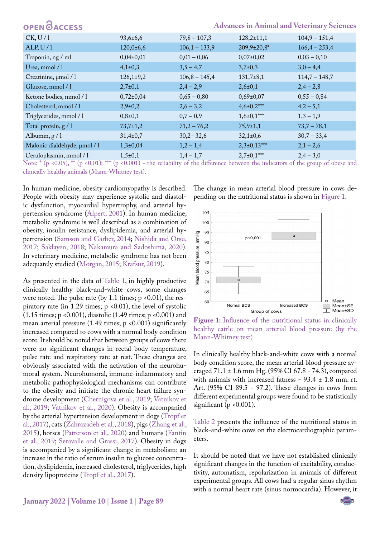| <b>OPEN</b> OACCESS          |                |                 |                     | <b>Advances in Animal and Veterinary Sciences</b> |
|------------------------------|----------------|-----------------|---------------------|---------------------------------------------------|
| CK, U/1                      | $93,6 \pm 6,6$ | $79,8 - 107,3$  | $128,2{\pm}11,1$    | $104,9 - 151,4$                                   |
| ALP, U $/1$                  | 120,0:6,6      | $106,1 - 133,9$ | 209,9±20,8*         | $166,4 - 253,4$                                   |
| Troponin, ng / ml            | $0,04\pm0,01$  | $0,01 - 0,06$   | $0,07\pm0,02$       | $0,03 - 0,10$                                     |
| Urea, mmol / 1               | $4,1\pm0,3$    | $3,5 - 4,7$     | $3,7\pm0,3$         | $3,0-4,4$                                         |
| Creatinine, µmol / 1         | $126,1+9,2$    | $106,8 - 145,4$ | $131,7+8,1$         | $114,7 - 148,7$                                   |
| Glucose, mmol / 1            | $2,7+0,1$      | $2,4-2,9$       | $2,6 \pm 0,1$       | $2,4-2,8$                                         |
| Ketone bodies, mmol / 1      | $0,72\pm0,04$  | $0,65 - 0,80$   | $0,69{\pm}0,07$     | $0,55 - 0,84$                                     |
| Cholesterol, mmol / 1        | $2,9+0,2$      | $2,6 - 3,2$     | $4,6\pm0,2$ ***     | $4,2 - 5,1$                                       |
| Triglycerides, mmol / 1      | $0,8{\pm}0,1$  | $0,7-0,9$       | $1,6{\pm}0,1^{***}$ | $1,3 - 1,9$                                       |
| Total protein, $g/1$         | $73,7{\pm}1,2$ | $71,2 - 76,2$   | $75,9 \pm 1,1$      | $73,7 - 78,1$                                     |
| Albumin, $g/1$               | $31,4\pm0,7$   | $30,2 - 32,6$   | $32,1\pm0,6$        | $30,7 - 33,4$                                     |
| Malonic dialdehyde, µmol / 1 | $1,3+0,04$     | $1,2 - 1,4$     | $2,3\pm0,13***$     | $2,1 - 2,6$                                       |
| Ceruloplasmin, mmol / 1      | $1,5+0,1$      | $1,4-1,7$       | $2,7+0,1***$        | $2,4 - 3,0$                                       |

Note:  $*$  (p <0.05),  $**$  (p <0.01);  $**$  (p <0.001) - the reliability of the difference between the indicators of the group of obese and clinically healthy animals (Mann-Whitney test).

In human medicine, obesity cardiomyopathy is described. People with obesity may experience systolic and diastolic dysfunction, myocardial hypertrophy, and arterial hypertension syndrome [\(Alpert, 2001\)](#page-6-10). In human medicine, metabolic syndrome is well described as a combination of obesity, insulin resistance, dyslipidemia, and arterial hypertension [\(Samson and Garber, 2014;](#page-7-10) [Nishida and Otsu,](#page-7-11)  [2017](#page-7-11); [Saklayen, 2018;](#page-7-12) [Nakamura and Sadoshima, 2020](#page-7-13)). In veterinary medicine, metabolic syndrome has not been adequately studied [\(Morgan, 2015;](#page-6-11) [Krafsur, 2019](#page-6-9)).

As presented in the data of [Table 1,](#page-3-0) in highly productive clinically healthy black-and-white cows, some changes were noted. The pulse rate (by 1.1 times;  $p \le 0.01$ ), the respiratory rate (in 1.29 times;  $p \le 0.01$ ), the level of systolic (1.15 times; p <0.001), diastolic (1.49 times; p <0.001) and mean arterial pressure (1.49 times;  $p \le 0.001$ ) significantly increased compared to cows with a normal body condition score. It should be noted that between groups of cows there were no significant changes in rectal body temperature, pulse rate and respiratory rate at rest. These changes are obviously associated with the activation of the neurohumoral system. Neurohumoral, immune-inflammatory and metabolic pathophysiological mechanisms can contribute to the obesity and initiate the chronic heart failure syndrome development [\(Chernigova et al., 2019](#page-6-12); [Vatnikov et](#page-7-2)  [al., 2019](#page-7-2); [Vatnikov et al., 2020\)](#page-7-14). Obesity is accompanied by the arterial hypertension development in dogs [\(Tropf et](#page-7-15)  [al., 2017\)](#page-7-15), cats [\(Zahrazadeh et al., 2018\)](#page-8-1), pigs [\(Zhang et al.,](#page-8-2) [2015](#page-8-2)), horses [\(Patterson et al., 2020\)](#page-7-16) and humans ([Fantin](#page-6-13)  [et al., 2019;](#page-6-13) [Seravalle and Grassi, 2017](#page-7-17)). Obesity in dogs is accompanied by a significant change in metabolism: an increase in the ratio of serum insulin to glucose concentration, dyslipidemia, increased cholesterol, triglycerides, high density lipoproteins ([Tropf et al., 2017](#page-7-15)).

The change in mean arterial blood pressure in cows depending on the nutritional status is shown in [Figure 1.](#page-4-0)



<span id="page-4-0"></span>Figure 1: Influence of the nutritional status in clinically healthy cattle on mean arterial blood pressure (by the Mann-Whitney test)

In clinically healthy black-and-white cows with a normal body condition score, the mean arterial blood pressure averaged 71.1 ± 1.6 mm Hg. (95% CI 67.8 - 74.3), compared with animals with increased fatness - 93.4 ± 1.8 mm. rt. Art. (95% CI 89.5 - 97.2). These changes in cows from different experimental groups were found to be statistically significant ( $p \le 0.001$ ).

[Table 2](#page-3-1) presents the influence of the nutritional status in black-and-white cows on the electrocardiographic parameters.

It should be noted that we have not established clinically significant changes in the function of excitability, conductivity, automatism, repolarization in animals of different experimental groups. All cows had a regular sinus rhythm with a normal heart rate (sinus normocardia). However, it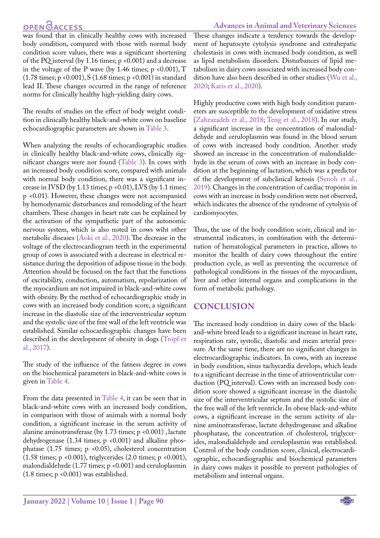**Advances in Animal and Veterinary Sciences**

was found that in clinically healthy cows with increased body condition, compared with those with normal body condition score values, there was a significant shortening of the PQ interval (by 1.16 times; p <0.001) and a decrease in the voltage of the P wave (by 1.46 times;  $p \le 0.001$ ), T (1.78 times; p <0.001), S (1.68 times; p <0.001) in standard lead II. These changes occurred in the range of reference norms for clinically healthy high-yielding dairy cows.

The results of studies on the effect of body weight condition in clinically healthy black-and-white cows on baseline echocardiographic parameters are shown in [Table 3.](#page-3-2)

When analyzing the results of echocardiographic studies in clinically healthy black-and-white cows, clinically significant changes were nor found [\(Table 3](#page-3-2)). In cows with an increased body condition score, compared with animals with normal body condition, there was a significant increase in IVSD (by  $1.13$  times;  $p \le 0.01$ ), LVS (by  $1.1$  times; p <0.01). However, these changes were not accompanied by hemodynamic disturbances and remodeling of the heart chambers. These changes in heart rate can be explained by the activation of the sympathetic part of the autonomic nervous system, which is also noted in cows wiht other metabolic diseases ([Aoki et al., 2020\)](#page-6-14). The decrease in the voltage of the electrocardiogram teeth in the experimental group of cows is associated with a decrease in electrical resistance during the deposition of adipose tissue in the body. Attention should be focused on the fact that the functions of excitability, conduction, automatism, repolarization of the myocardium are not impaired in black-and-white cows with obesity. By the method of echocardiographic study in cows with an increased body condition score, a significant increase in the diastolic size of the interventricular septum and the systolic size of the free wall of the left ventricle was established. Similar echocardiographic changes have been described in the development of obesity in dogs ([Tropf et](#page-7-15)  [al., 2017](#page-7-15)).

The study of the influence of the fatness degree in cows on the biochemical parameters in black-and-white cows is given in [Table 4](#page-3-3).

From the data presented in [Table 4](#page-3-3), it can be seen that in black-and-white cows with an increased body condition, in comparison with those of animals with a normal body condition, a significant increase in the serum activity of alanine aminotransferase (by 1.73 times; p <0.001) , lactate dehydrogenase  $(1.34 \text{ times}; \text{p} < 0.001)$  and alkaline phosphatase (1.75 times;  $p \le 0.05$ ), cholesterol concentration (1.58 times; p <0.001), triglycerides (2.0 times; p <0.001), malondialdehyde (1.77 times; p <0.001) and ceruloplasmin (1.8 times; p <0.001) was established.

These changes indicate a tendency towards the development of hepatocyte cytolysis syndrome and extrahepatic cholestasis in cows with increased body condition, as well as lipid metabolism disorders. Disturbances of lipid metabolism in dairy cows associated with increased body condition have also been described in other studies ([Wu et al.,](#page-7-18) [2020](#page-7-18); Karis et al., 2020).

Highly productive cows with high body condition parameters are susceptible to the development of oxidative stress ([Zahrazadeh et al., 2018](#page-8-1)[; Teng et al., 2018\)](#page-7-19). In our study, a significant increase in the concentration of malondialdehyde and ceruloplasmin was found in the blood serum of cows with increased body condition. Another study showed an increase in the concentration of malondialdehyde in the serum of cows with an increase in body condition at the beginning of lactation, which was a predictor of the development of subclinical ketosis ([Senoh et al.,](#page-7-20) [2019](#page-7-20)). Changes in the concentration of cardiac troponin in cows with an increase in body condition were not observed, which indicates the absence of the syndrome of cytolysis of cardiomyocytes.

Thus, the use of the body condition score, clinical and instrumental indicators, in combination with the determination of hematological parameters in practice, allows to monitor the health of dairy cows throughout the entire production cycle, as well as preventing the occurrence of pathological conditions in the tissues of the myocardium, liver and other internal organs and complications in the form of metabolic pathology.

#### **Conclusion**

The increased body condition in dairy cows of the blackand-white breed leads to a significant increase in heart rate, respiration rate, systolic, diastolic and mean arterial pressure. At the same time, there are no significant changes in electrocardiographic indicators. In cows, with an increase in body condition, sinus tachycardia develops, which leads to a significant decrease in the time of atrioventricular conduction (PQ interval). Cows with an increased body condition score showed a significant increase in the diastolic size of the interventricular septum and the systolic size of the free wall of the left ventricle. In obese black-and-white cows, a significant increase in the serum activity of alanine aminotransferase, lactate dehydrogenase and alkaline phosphatase, the concentration of cholesterol, triglycerides, malondialdehyde and ceruloplasmin was established. Control of the body condition score, clinical, electrocardiographic, echocardiographic and biochemical parameters in dairy cows makes it possible to prevent pathologies of metabolism and internal organs.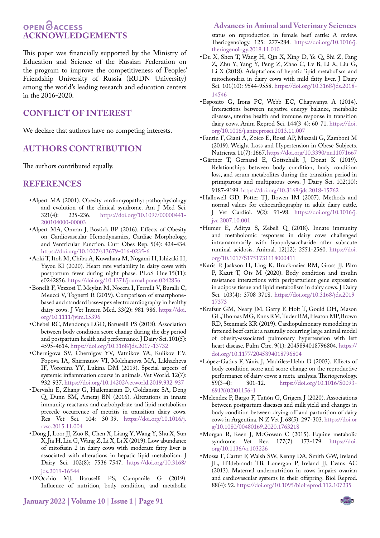#### **Advances in Animal and Veterinary Sciences**

### **OPEN**<sub>d</sub> **Acknowledgements**

This paper was financially supported by the Ministry of Education and Science of the Russian Federation on the program to improve the competitiveness of Peoples' Friendship University of Russia (RUDN University) among the world's leading research and education centers in the 2016-2020.

### **Conflict of interest**

We declare that authors have no competing interests.

#### **Authors contribution**

The authors contributed equally.

#### **References**

- <span id="page-6-10"></span>• Alpert MA (2001). Obesity cardiomyopathy: pathophysiology and evolution of the clinical syndrome. Am J Med Sci.<br>321(4): 225-236. https://doi.org/10.1097/00000441[https://doi.org/10.1097/00000441-](https://doi.org/10.1097/00000441-200104000-00003 ) [200104000-00003](https://doi.org/10.1097/00000441-200104000-00003 )
- <span id="page-6-8"></span>• Alpert MA, Omran J, Bostick BP (2016). Effects of Obesity on Cardiovascular Hemodynamics, Cardiac Morphology, and Ventricular Function. Curr Obes Rep. 5(4): 424-434. <https://doi.org/10.1007/s13679-016-0235-6>
- <span id="page-6-14"></span>• Aoki T, Itoh M, Chiba A, Kuwahara M, Nogami H, Ishizaki H, Yayou KI (2020). Heart rate variability in dairy cows with postpartum fever during night phase. PLoS One.15(11): e0242856. <https://doi.org/10.1371/journal.pone.0242856>
- <span id="page-6-6"></span>• Bonelli F, Vezzosi T, Meylan M, Nocera I, Ferrulli V, Buralli C, Meucci V, Tognetti R (2019). Comparison of smartphonebased and standard base-apex electrocardiography in healthy dairy cows. J Vet Intern Med. 33(2): 981-986. [https://doi.](https://doi.org/10.1111/jvim.15396 ) [org/10.1111/jvim.15396](https://doi.org/10.1111/jvim.15396 )
- • Chebel RC, Mendonça LGD, Baruselli PS (2018). Association between body condition score change during the dry period and postpartum health and performance. J Dairy Sci. 101(5): 4595-4614.<https://doi.org/10.3168/jds.2017-13732>
- <span id="page-6-12"></span>• Chernigova SV, Chernigov YV, Vatnikov YA, Kulikov EV, Popova IA, Shirmanov VI, Molchanova MA, Likhacheva IF, Voronina YY, Lukina DM (2019). Special aspects of systemic inflammation course in animals. Vet World. 12(7): 932-937. https://doi.org/10.14202/vetworld.2019.932-937
- <span id="page-6-2"></span>• Dervishi E, Zhang G, Hailemariam D, Goldansaz SA, Deng Q, Dunn SM, Ametaj BN (2016). Alterations in innate immunity reactants and carbohydrate and lipid metabolism precede occurrence of metritis in transition dairy cows. Res Vet Sci. 104: 30-39. [https://doi.org/10.1016/j.](https://doi.org/10.1016/j.rvsc.2015.11.004 ) [rvsc.2015.11.004](https://doi.org/10.1016/j.rvsc.2015.11.004 )
- <span id="page-6-4"></span>• Dong J, Loor JJ, Zuo R, Chen X, Liang Y, Wang Y, Shu X, Sun X, Jia H, Liu G, Wang Z, Li X, Li X (2019). Low abundance of mitofusin 2 in dairy cows with moderate fatty liver is associated with alterations in hepatic lipid metabolism. J Dairy Sci. 102(8): 7536-7547. [https://doi.org/10.3168/](https://doi.org/10.3168/jds.2019-16544 ) [jds.2019-16544](https://doi.org/10.3168/jds.2019-16544 )
- • D'Occhio MJ, Baruselli PS, Campanile G (2019). Influence of nutrition, body condition, and metabolic

US **January 2022 | Volume 10 | Issue 1 | Page 91**

status on reproduction in female beef cattle: A review. Theriogenology. 125: 277-284. [https://doi.org/10.1016/j.](https://doi.org/10.1016/j.theriogenology.2018.11.010) [theriogenology.2018.11.010](https://doi.org/10.1016/j.theriogenology.2018.11.010)

- <span id="page-6-1"></span>• Du X, Shen T, Wang H, Qin X, Xing D, Ye Q, Shi Z, Fang Z, Zhu Y, Yang Y, Peng Z, Zhao C, Lv B, Li X, Liu G, Li X (2018). Adaptations of hepatic lipid metabolism and mitochondria in dairy cows with mild fatty liver. J Dairy Sci. 101(10): 9544-9558[. https://doi.org/10.3168/jds.2018-]( https://doi.org/10.3168/jds.2018-14546 ) [14546]( https://doi.org/10.3168/jds.2018-14546 )
- <span id="page-6-0"></span>• Esposito G, Irons PC, Webb EC, Chapwanya A (2014). Interactions between negative energy balance, metabolic diseases, uterine health and immune response in transition dairy cows. Anim Reprod Sci. 144(3-4): 60-71. [https://doi.](https://doi.org/10.1016/j.anireprosci.2013.11.007 ) [org/10.1016/j.anireprosci.2013.11.007](https://doi.org/10.1016/j.anireprosci.2013.11.007 )
- <span id="page-6-13"></span>• Fantin F, Giani A, Zoico E, Rossi AP, Mazzali G, Zamboni M (2019). Weight Loss and Hypertension in Obese Subjects. Nutrients. 11(7): 1667. [https://doi.org/10.3390/nu11071667](https://doi.org/10.3390/nu11071667 )
- • Gärtner T, Gernand E, Gottschalk J, Donat K (2019). Relationships between body condition, body condition loss, and serum metabolites during the transition period in primiparous and multiparous cows. J Dairy Sci. 102(10): 9187-9199. [https://doi.org/10.3168/jds.2018-15762](https://doi.org/10.3168/jds.2018-15762 )
- <span id="page-6-7"></span>• Hallowell GD, Potter TJ, Bowen IM (2007). Methods and normal values for echocardiography in adult dairy cattle. J Vet Cardiol. 9(2): 91-98. [https://doi.org/10.1016/j.](https://doi.org/10.1016/j.jvc.2007.10.001 ) [jvc.2007.10.001](https://doi.org/10.1016/j.jvc.2007.10.001 )
- <span id="page-6-3"></span>• Humer E, Aditya S, Zebeli Q (2018). Innate immunity and metabolomic responses in dairy cows challenged intramammarily with lipopolysaccharide after subacute ruminal acidosis. Animal. 12(12): 2551-2560. [https://doi.](https://doi.org/10.1017/S1751731118000411 ) [org/10.1017/S1751731118000411](https://doi.org/10.1017/S1751731118000411 )
- • Karis P, Jaakson H, Ling K, Bruckmaier RM, Gross JJ, Pärn P, Kaart T, Ots M (2020). Body condition and insulin resistance interactions with periparturient gene expression in adipose tissue and lipid metabolism in dairy cows. J Dairy Sci. 103(4): 3708-3718. [https://doi.org/10.3168/jds.2019-](https://doi.org/10.3168/jds.2019-17373 ) [17373](https://doi.org/10.3168/jds.2019-17373 )
- <span id="page-6-9"></span>• Krafsur GM, Neary JM, Garry F, Holt T, Gould DH, Mason GL, Thomas MG, Enns RM, Tuder RM, Heaton MP, Brown RD, Stenmark KR (2019). Cardiopulmonary remodeling in fattened beef cattle: a naturally occurring large animal model of obesity-associated pulmonary hypertension with left heart disease. Pulm Circ. 9(1): 2045894018796804. [https://](https://doi.org/10.1177/2045894018796804 ) [doi.org/10.1177/2045894018796804](https://doi.org/10.1177/2045894018796804 )
- • López-Gatius F, Yániz J, Madriles-Helm D (2003). Effects of body condition score and score change on the reproductive performance of dairy cows: a meta-analysis. Theriogenology.<br>59(3-4): 801-12. https://doi.org/10.1016/S0093[https://doi.org/10.1016/S0093-](https://doi.org/10.1016/S0093-691X(02)01156-1 ) [691X\(02\)01156-1](https://doi.org/10.1016/S0093-691X(02)01156-1 )
- • Melendez P, Bargo F, Tuñón G, Grigera J (2020). Associations between postpartum diseases and milk yield and changes in body condition between drying off and parturition of dairy cows in Argentina. N Z Vet J. 68(5): 297-303. [https://doi.or](https://doi.org/10.1080/00480169.2020.1763218 ) [g/10.1080/00480169.2020.1763218](https://doi.org/10.1080/00480169.2020.1763218 )
- <span id="page-6-11"></span>• Morgan R, Keen J, McGowan C (2015). Equine metabolic syndrome. Vet Rec. 177(7): 173-179. [https://doi.](https://doi.org/10.1136/vr.103226 ) [org/10.1136/vr.103226](https://doi.org/10.1136/vr.103226 )
- <span id="page-6-5"></span>• Mossa F, Carter F, Walsh SW, Kenny DA, Smith GW, Ireland JL, Hildebrandt TB, Lonergan P, Ireland JJ, Evans AC (2013). Maternal undernutrition in cows impairs ovarian and cardiovascular systems in their offspring. Biol Reprod. 88(4): 92.<https://doi.org/10.1095/biolreprod.112.107235>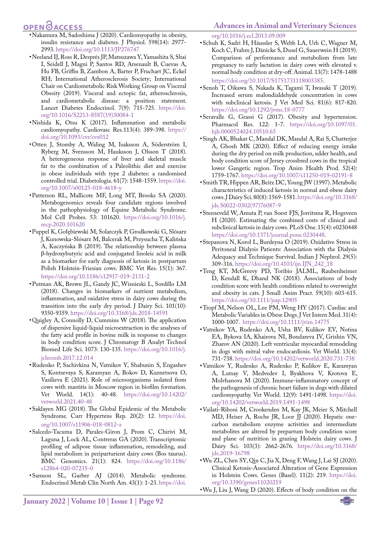### **OPEN GACCESS**

- <span id="page-7-13"></span>• Nakamura M, Sadoshima J (2020). Cardiomyopathy in obesity, insulin resistance and diabetes. J Physiol. 598(14): 2977- 2993. <https://doi.org/10.1113/JP276747>
- • Neeland IJ, Ross R, Després JP, Matsuzawa Y, Yamashita S, Shai I, Seidell J, Magni P, Santos RD, Arsenault B, Cuevas A, Hu FB, Griffin B, Zambon A, Barter P, Fruchart JC, Eckel RH; International Atherosclerosis Society; International Chair on Cardiometabolic Risk Working Group on Visceral Obesity (2019). Visceral and ectopic fat, atherosclerosis, and cardiometabolic disease: a position statement. Lancet Diabetes Endocrinol. 7(9): 715-725[. https://doi.]( https://doi.org/10.1016/S2213-8587(19)30084-1 ) [org/10.1016/S2213-8587\(19\)30084-1]( https://doi.org/10.1016/S2213-8587(19)30084-1 )
- <span id="page-7-11"></span>• Nishida K, Otsu K (2017). Inflammation and metabolic cardiomyopathy. Cardiovasc Res.113(4): 389-398. [https://](https://doi.org/10.1093/cvr/cvx012 ) [doi.org/10.1093/cvr/cvx012](https://doi.org/10.1093/cvr/cvx012 )
- • Otten J, Stomby A, Waling M, Isaksson A, Söderström I, Ryberg M, Svensson M, Hauksson J, Olsson T (2018). A heterogeneous response of liver and skeletal muscle fat to the combination of a Paleolithic diet and exercise in obese individuals with type 2 diabetes: a randomised controlled trial. Diabetologia. 61(7): 1548-1559. [https://doi.](https://doi.org/10.1007/s00125-018-4618-y ) [org/10.1007/s00125-018-4618-y](https://doi.org/10.1007/s00125-018-4618-y )
- <span id="page-7-16"></span>• Patterson RL, Mallicote MF, Long MT, Brooks SA (2020). Metabogenomics reveals four candidate regions involved in the pathophysiology of Equine Metabolic Syndrome. Mol Cell Probes. 53: 101620. [https://doi.org/10.1016/j.](https://doi.org/10.1016/j.mcp.2020.101620 ) [mcp.2020.101620](https://doi.org/10.1016/j.mcp.2020.101620 )
- • Puppel K, Gołębiewski M, Solarczyk P, Grodkowski G, Slósarz J, Kunowska-Slósarz M, Balcerak M, Przysucha T, Kalińska A, Kuczyńska B (2019). The relationship between plasma β-hydroxybutyric acid and conjugated linoleic acid in milk as a biomarker for early diagnosis of ketosis in postpartum Polish Holstein-Friesian cows. BMC Vet Res. 15(1): 367. [https://doi.org/10.1186/s12917-019-2131-2](https://doi.org/10.1186/s12917-019-2131-2  )
- <span id="page-7-1"></span>• Putman AK, Brown JL, Gandy JC, Wisnieski L, Sordillo LM (2018). Changes in biomarkers of nutrient metabolism, inflammation, and oxidative stress in dairy cows during the transition into the early dry period. J Dairy Sci. 101(10): 9350-9359.<https://doi.org/10.3168/jds.2018-14591>
- <span id="page-7-7"></span>• Quigley A, Connolly D, Cummins W (2018). The application of dispersive liquid-liquid microextraction in the analyses of the fatty acid profile in bovine milk in response to changes in body condition score. J Chromatogr B Analyt Technol Biomed Life Sci. 1073: 130-135. [https://doi.org/10.1016/j.](https://doi.org/10.1016/j.jchromb.2017.12.014 ) [jchromb.2017.12.014](https://doi.org/10.1016/j.jchromb.2017.12.014 )
- <span id="page-7-0"></span>• Rudenko P, Sachivkina N, Vatnikov Y, Shabunin S, Engashev S, Kontsevaya S, Karamyan A, Bokov D, Kuznetsova O, Vasilieva E (2021). Role of microorganisms isolated from cows with mastitis in Moscow region in biofilm formation. Vet World. 14(1): 40-48. [https://doi.org/10.14202/](https://doi.org/10.14202/vetworld.2021.40-48 ) [vetworld.2021.40-48](https://doi.org/10.14202/vetworld.2021.40-48 )
- <span id="page-7-12"></span>• Saklayen MG (2018). The Global Epidemic of the Metabolic Syndrome. Curr Hypertens Rep. 20(2): 12[. https://doi.]( https://doi.org/10.1007/s11906-018-0812-z ) [org/10.1007/s11906-018-0812-z]( https://doi.org/10.1007/s11906-018-0812-z )
- <span id="page-7-3"></span>• Salcedo-Tacuma D, Parales-Giron J, Prom C, Chirivi M, Laguna J, Lock AL, Contreras GA (2020). Transcriptomic profiling of adipose tissue inflammation, remodeling, and lipid metabolism in periparturient dairy cows (Bos taurus). BMC Genomics. 21(1): 824. [https://doi.org/10.1186/](https://doi.org/10.1186/s12864-020-07235-0) [s12864-020-07235-0](https://doi.org/10.1186/s12864-020-07235-0)
- <span id="page-7-10"></span>• Samson SL, Garber AJ (2014). Metabolic syndrome. Endocrinol Metab Clin North Am. 43(1): 1-23. [https://doi.](https://doi.org/10.1016/j.ecl.2013.09.009)

[org/10.1016/j.ecl.2013.09.009](https://doi.org/10.1016/j.ecl.2013.09.009)

- • Schuh K, Sadri H, Häussler S, Webb LA, Urh C, Wagner M, Koch C, Frahm J, Dänicke S, Dusel G, Sauerwein H (2019). Comparison of performance and metabolism from late pregnancy to early lactation in dairy cows with elevated v. normal body condition at dry-off. Animal. 13(7): 1478-1488 <https://doi.org/10.1017/S1751731118003385>.
- <span id="page-7-20"></span>• Senoh T, Oikawa S, Nakada K, Tagami T, Iwasaki T (2019). Increased serum malondialdehyde concentration in cows with subclinical ketosis. J Vet Med Sci. 81(6): 817-820. <https://doi.org/10.1292/jvms.18-0777>
- <span id="page-7-17"></span>• Seravalle G, Grassi G (2017). Obesity and hypertension. Pharmacol Res. 122: 1-7. [https://doi.org/10.1097/01.](https://doi.org/10.1097/01.hjh.0000524024.10510.65 ) [hjh.0000524024.10510.65](https://doi.org/10.1097/01.hjh.0000524024.10510.65 )
- <span id="page-7-4"></span>• Singh AK, Bhakat C, Mandal DK, Mandal A, Rai S, Chatterjee A, Ghosh MK (2020). Effect of reducing energy intake during the dry period on milk production, udder health, and body condition score of Jersey crossbred cows in the tropical lower Gangetic region. Trop Anim Health Prod. 52(4): 1759-1767. [https://doi.org/10.1007/s11250-019-02191-8](https://doi.org/10.1007/s11250-019-02191-8 )
- <span id="page-7-9"></span>• Smith TR, Hippen AR, Beitz DC, Young JW (1997). Metabolic characteristics of induced ketosis in normal and obese dairy cows. J Dairy Sci. 80(8): 1569-1581. [https://doi.org/10.3168/](https://doi.org/10.3168/jds.S0022-0302(97)76087-9) [jds.S0022-0302\(97\)76087-9](https://doi.org/10.3168/jds.S0022-0302(97)76087-9)
- <span id="page-7-6"></span>• Steeneveld W, Amuta P, van Soest FJS, Jorritsma R, Hogeveen H (2020). Estimating the combined costs of clinical and subclinical ketosis in dairy cows. PLoS One. 15(4): e0230448 <https://doi.org/10.1371/journal.pone.0230448>.
- <span id="page-7-8"></span>• Stepanova N, Korol L, Burdeyna O (2019). Oxidative Stress in Peritoneal Dialysis Patients: Association with the Dialysis Adequacy and Technique Survival. Indian J Nephrol. 29(5): 309-316. [https://doi.org/10.4103/ijn.IJN\\_242\\_18](https://doi.org/10.4103/ijn.IJN_242_18 )
- <span id="page-7-19"></span>• Teng KT, McGreevy PD, Toribio JALML, Raubenheimer D, Kendall K, Dhand NK (2018). Associations of body condition score with health conditions related to overweight and obesity in cats. J Small Anim Pract. 59(10): 603-615. [https://doi.org/10.1111/jsap.12905](https://doi.org/10.1111/jsap.12905 )
- <span id="page-7-15"></span>• Tropf M, Nelson OL, Lee PM, Weng HY (2017). Cardiac and Metabolic Variables in Obese Dogs. J Vet Intern Med. 31(4): 1000-1007. [https://doi.org/10.1111/jvim.14775](https://doi.org/10.1111/jvim.14775 )
- <span id="page-7-14"></span>• Vatnikov YA, Rudenko AA, Usha BV, Kulikov EV, Notina EA, Bykova IA, Khairova NI, Bondareva IV, Grishin VN, Zharov AN (2020). Left ventricular myocardial remodeling in dogs with mitral valve endocardiosis. Vet World. 13(4): 731-738. [https://doi.org/10.14202/vetworld.2020.731-738](https://doi.org/10.14202/vetworld.2020.731-738 )
- <span id="page-7-2"></span>• Vatnikov Y, Rudenko A, Rudenko P, Kulikov E, Karamyan A, Lutsay V, Medvedev I, Byakhova V, Krotova E, Molvhanova M (2020). Immune-inflammatory concept of the pathogenesis of chronic heart failure in dogs with dilated cardiomyopathy. Vet World. 12(9): 1491-1498. [https://doi.](https://doi.org/10.14202/vetworld.2019.1491-1498 ) [org/10.14202/vetworld.2019.1491-1498](https://doi.org/10.14202/vetworld.2019.1491-1498 )
- • Vailati-Riboni M, Crookenden M, Kay JK, Meier S, Mitchell MD, Heiser A, Roche JR, Loor JJ (2020). Hepatic onecarbon metabolism enzyme activities and intermediate metabolites are altered by prepartum body condition score and plane of nutrition in grazing Holstein dairy cows. J Dairy Sci. 103(3): 2662-2676. [https://doi.org/10.3168/](https://doi.org/10.3168/jds.2019-16798 ) [jds.2019-16798](https://doi.org/10.3168/jds.2019-16798 )
- <span id="page-7-18"></span>• Wu ZL, Chen SY, Qin C, Jia X, Deng F, Wang J, Lai SJ (2020). Clinical Ketosis-Associated Alteration of Gene Expression in Holstein Cows. Genes (Basel). 11(2): 219. [https://doi.](https://doi.org/10.3390/genes11020219 ) [org/10.3390/genes11020219](https://doi.org/10.3390/genes11020219 )
- <span id="page-7-5"></span>• Wu J, Liu J, Wang D (2020). Effects of body condition on the